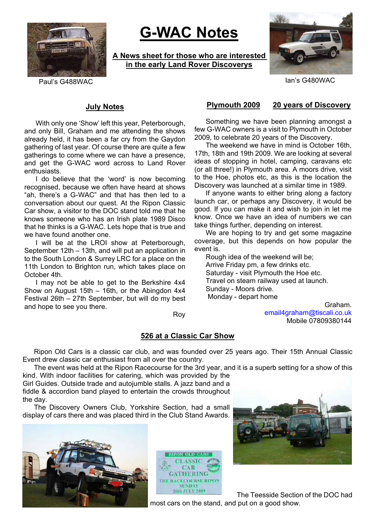

# **G-WAC Notes**

**A News sheet for those who are interested in the early Land Rover Discoverys**



Paul's G488WAC Ian's G480WAC

# **July Notes**

With only one 'Show' left this year, Peterborough, and only Bill, Graham and me attending the shows already held, it has been a far cry from the Gaydon gathering of last year. Of course there are quite a few gatherings to come where we can have a presence, and get the G-WAC word across to Land Rover enthusiasts.

I do believe that the 'word' is now becoming recognised, because we often have heard at shows "ah, there's a G-WAC" and that has then led to a conversation about our quest. At the Ripon Classic Car show, a visitor to the DOC stand told me that he knows someone who has an Irish plate 1989 Disco that he thinks is a G-WAC. Lets hope that is true and we have found another one.

I will be at the LROI show at Peterborough, September 12th – 13th, and will put an application in to the South London & Surrey LRC for a place on the 11th London to Brighton run, which takes place on October 4th.

I may not be able to get to the Berkshire 4x4 Show on August 15th – 16th, or the Abingdon 4x4 Festival 26th – 27th September, but will do my best and hope to see you there.

### Roy

### **Plymouth 2009 20 years of Discovery**

Something we have been planning amongst a few G-WAC owners is a visit to Plymouth in October 2009, to celebrate 20 years of the Discovery.

The weekend we have in mind is October 16th, 17th, 18th and 19th 2009. We are looking at several ideas of stopping in hotel, camping, caravans etc (or all three!) in Plymouth area. A moors drive, visit to the Hoe, photos etc, as this is the location the Discovery was launched at a similar time in 1989.

If anyone wants to either bring along a factory launch car, or perhaps any Discovery, it would be good. If you can make it and wish to join in let me know. Once we have an idea of numbers we can take things further, depending on interest.

We are hoping to try and get some magazine coverage, but this depends on how popular the event is.

Rough idea of the weekend will be; Arrive Friday pm, a few drinks etc. Saturday - visit Plymouth the Hoe etc. Travel on steam railway used at launch. Sunday - Moors drive. Monday - depart home

Graham. email4graham@tiscali.co.uk Mobile 07809380144

# **526 at a Classic Car Show**

Ripon Old Cars is a classic car club, and was founded over 25 years ago. Their 15th Annual Classic Event drew classic car enthusiast from all over the country.

The event was held at the Ripon Racecourse for the 3rd year, and it is a superb setting for a show of this kind. With indoor facilities for catering, which was provided by the

Girl Guides. Outside trade and autojumble stalls. A jazz band and a fiddle & accordion band played to entertain the crowds throughout the day.

The Discovery Owners Club, Yorkshire Section, had a small display of cars there and was placed third in the Club Stand Awards.







The Teesside Section of the DOC had most cars on the stand, and put on a good show.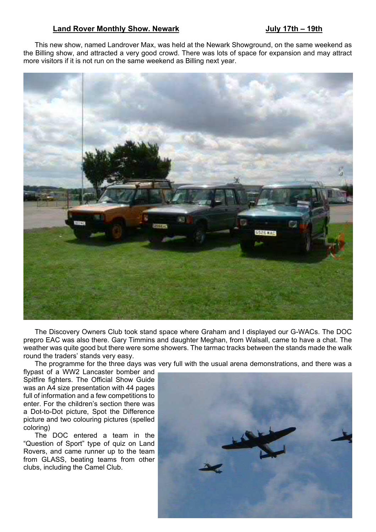# Land Rover Monthly Show. Newark **July 17th – 19th**

This new show, named Landrover Max, was held at the Newark Showground, on the same weekend as the Billing show, and attracted a very good crowd. There was lots of space for expansion and may attract more visitors if it is not run on the same weekend as Billing next year.



The Discovery Owners Club took stand space where Graham and I displayed our G-WACs. The DOC prepro EAC was also there. Gary Timmins and daughter Meghan, from Walsall, came to have a chat. The weather was quite good but there were some showers. The tarmac tracks between the stands made the walk round the traders' stands very easy.

The programme for the three days was very full with the usual arena demonstrations, and there was a

flypast of a WW2 Lancaster bomber and Spitfire fighters. The Official Show Guide was an A4 size presentation with 44 pages full of information and a few competitions to enter. For the children's section there was a Dot-to-Dot picture, Spot the Difference picture and two colouring pictures (spelled coloring)

The DOC entered a team in the "Question of Sport" type of quiz on Land Rovers, and came runner up to the team from GLASS, beating teams from other clubs, including the Camel Club.

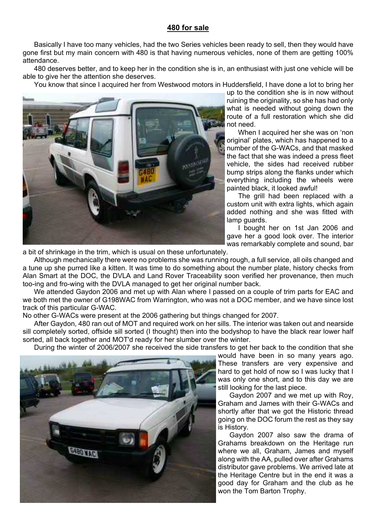# **480 for sale**

Basically I have too many vehicles, had the two Series vehicles been ready to sell, then they would have gone first but my main concern with 480 is that having numerous vehicles, none of them are getting 100% attendance.

480 deserves better, and to keep her in the condition she is in, an enthusiast with just one vehicle will be able to give her the attention she deserves.

You know that since I acquired her from Westwood motors in Huddersfield, I have done a lot to bring her



up to the condition she is in now without ruining the originality, so she has had only what is needed without going down the route of a full restoration which she did not need.

When I acquired her she was on 'non original' plates, which has happened to a number of the G-WACs, and that masked the fact that she was indeed a press fleet vehicle, the sides had received rubber bump strips along the flanks under which everything including the wheels were painted black, it looked awful!

The grill had been replaced with a custom unit with extra lights, which again added nothing and she was fitted with lamp guards.

I bought her on 1st Jan 2006 and gave her a good look over. The interior was remarkably complete and sound, bar

a bit of shrinkage in the trim, which is usual on these unfortunately.

Although mechanically there were no problems she was running rough, a full service, all oils changed and a tune up she purred like a kitten. It was time to do something about the number plate, history checks from Alan Smart at the DOC, the DVLA and Land Rover Traceability soon verified her provenance, then much too-ing and fro-wing with the DVLA managed to get her original number back.

We attended Gaydon 2006 and met up with Alan where I passed on a couple of trim parts for EAC and we both met the owner of G198WAC from Warrington, who was not a DOC member, and we have since lost track of this particular G-WAC.

No other G-WACs were present at the 2006 gathering but things changed for 2007.

After Gaydon, 480 ran out of MOT and required work on her sills. The interior was taken out and nearside sill completely sorted, offside sill sorted (I thought) then into the bodyshop to have the black rear lower half sorted, all back together and MOT'd ready for her slumber over the winter.

During the winter of 2006/2007 she received the side transfers to get her back to the condition that she



would have been in so many years ago. These transfers are very expensive and hard to get hold of now so I was lucky that I was only one short, and to this day we are still looking for the last piece.

Gaydon 2007 and we met up with Roy, Graham and James with their G-WACs and shortly after that we got the Historic thread going on the DOC forum the rest as they say is History.

Gaydon 2007 also saw the drama of Grahams breakdown on the Heritage run where we all, Graham, James and myself along with the AA, pulled over after Grahams distributor gave problems. We arrived late at the Heritage Centre but in the end it was a good day for Graham and the club as he won the Tom Barton Trophy.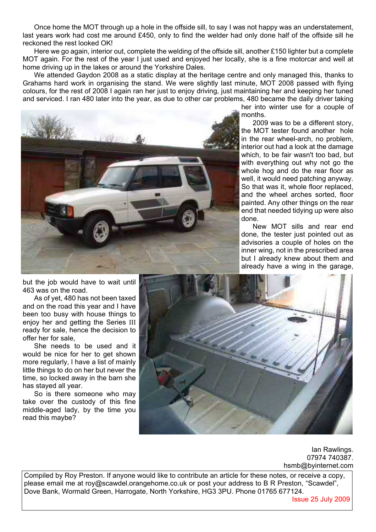Once home the MOT through up a hole in the offside sill, to say I was not happy was an understatement, last years work had cost me around £450, only to find the welder had only done half of the offside sill he reckoned the rest looked OK!

Here we go again, interior out, complete the welding of the offside sill, another £150 lighter but a complete MOT again. For the rest of the year I just used and enjoyed her locally, she is a fine motorcar and well at home driving up in the lakes or around the Yorkshire Dales.

We attended Gaydon 2008 as a static display at the heritage centre and only managed this, thanks to Grahams hard work in organising the stand. We were slightly last minute, MOT 2008 passed with flying colours, for the rest of 2008 I again ran her just to enjoy driving, just maintaining her and keeping her tuned and serviced. I ran 480 later into the year, as due to other car problems, 480 became the daily driver taking

![](_page_3_Picture_3.jpeg)

her into winter use for a couple of months.

2009 was to be a different story, the MOT tester found another hole in the rear wheel-arch, no problem, interior out had a look at the damage which, to be fair wasn't too bad, but with everything out why not go the whole hog and do the rear floor as well, it would need patching anyway. So that was it, whole floor replaced, and the wheel arches sorted, floor painted. Any other things on the rear end that needed tidying up were also done.

New MOT sills and rear end done, the tester just pointed out as advisories a couple of holes on the inner wing, not in the prescribed area but I already knew about them and already have a wing in the garage,

but the job would have to wait until 463 was on the road.

As of yet, 480 has not been taxed and on the road this year and I have been too busy with house things to enjoy her and getting the Series III ready for sale, hence the decision to offer her for sale,

She needs to be used and it would be nice for her to get shown more regularly, I have a list of mainly little things to do on her but never the time, so locked away in the barn she has stayed all year.

So is there someone who may take over the custody of this fine middle-aged lady, by the time you read this maybe?

![](_page_3_Picture_11.jpeg)

Ian Rawlings. 07974 740387. hsmb@byinternet.com

Compiled by Roy Preston. If anyone would like to contribute an article for these notes, or receive a copy, please email me at roy@scawdel.orangehome.co.uk or post your address to B R Preston, "Scawdel", Dove Bank, Wormald Green, Harrogate, North Yorkshire, HG3 3PU. Phone 01765 677124.

Issue 25 July 2009